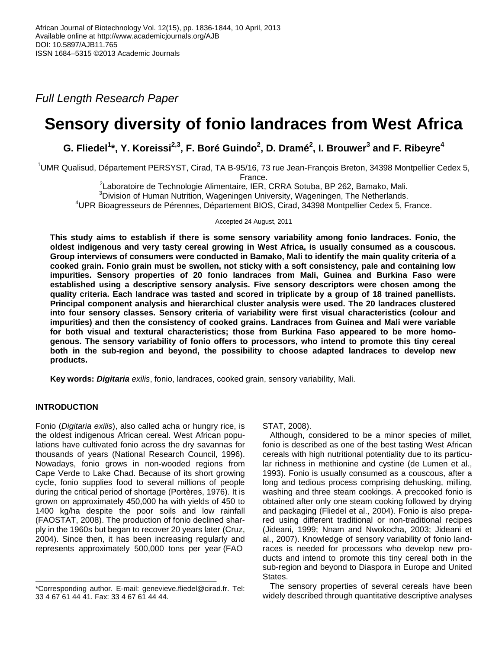*Full Length Research Paper*

# **Sensory diversity of fonio landraces from West Africa**

**G. Fliedel<sup>1</sup> \*, Y. Koreissi2,3, F. Boré Guindo<sup>2</sup> , D. Dramé<sup>2</sup> , I. Brouwer<sup>3</sup> and F. Ribeyre<sup>4</sup>**

<sup>1</sup>UMR Qualisud, Département PERSYST, Cirad, TA B-95/16, 73 rue Jean-François Breton, 34398 Montpellier Cedex 5, France.

<sup>2</sup>Laboratoire de Technologie Alimentaire, IER, CRRA Sotuba, BP 262, Bamako, Mali. <sup>3</sup>Division of Human Nutrition, Wageningen University, Wageningen, The Netherlands. <sup>4</sup>UPR Bioagresseurs de Pérennes, Département BIOS, Cirad, 34398 Montpellier Cedex 5, France.

Accepted 24 August, 2011

**This study aims to establish if there is some sensory variability among fonio landraces. Fonio, the oldest indigenous and very tasty cereal growing in West Africa, is usually consumed as a couscous. Group interviews of consumers were conducted in Bamako, Mali to identify the main quality criteria of a cooked grain. Fonio grain must be swollen, not sticky with a soft consistency, pale and containing low impurities. Sensory properties of 20 fonio landraces from Mali, Guinea and Burkina Faso were established using a descriptive sensory analysis. Five sensory descriptors were chosen among the quality criteria. Each landrace was tasted and scored in triplicate by a group of 18 trained panellists. Principal component analysis and hierarchical cluster analysis were used. The 20 landraces clustered into four sensory classes. Sensory criteria of variability were first visual characteristics (colour and impurities) and then the consistency of cooked grains. Landraces from Guinea and Mali were variable for both visual and textural characteristics; those from Burkina Faso appeared to be more homogenous. The sensory variability of fonio offers to processors, who intend to promote this tiny cereal both in the sub-region and beyond, the possibility to choose adapted landraces to develop new products.**

**Key words:** *Digitaria exilis*, fonio, landraces, cooked grain, sensory variability, Mali.

# **INTRODUCTION**

Fonio (*Digitaria exilis*), also called acha or hungry rice, is the oldest indigenous African cereal. West African populations have cultivated fonio across the dry savannas for thousands of years (National Research Council, 1996). Nowadays, fonio grows in non-wooded regions from Cape Verde to Lake Chad. Because of its short growing cycle, fonio supplies food to several millions of people during the critical period of shortage (Portères, 1976). It is grown on approximately 450,000 ha with yields of 450 to 1400 kg/ha despite the poor soils and low rainfall (FAOSTAT, 2008). The production of fonio declined sharply in the 1960s but began to recover 20 years later (Cruz, 2004). Since then, it has been increasing regularly and represents approximately 500,000 tons per year (FAO

STAT, 2008).

Although, considered to be a minor species of millet, fonio is described as one of the best tasting West African cereals with high nutritional potentiality due to its particular richness in methionine and cystine (de Lumen et al., 1993). Fonio is usually consumed as a couscous, after a long and tedious process comprising dehusking, milling, washing and three steam cookings. A precooked fonio is obtained after only one steam cooking followed by drying and packaging (Fliedel et al., 2004). Fonio is also prepared using different traditional or non-traditional recipes (Jideani, 1999; Nnam and Nwokocha, 2003; Jideani et al., 2007). Knowledge of sensory variability of fonio landraces is needed for processors who develop new products and intend to promote this tiny cereal both in the sub-region and beyond to Diaspora in Europe and United States.

The sensory properties of several cereals have been widely described through quantitative descriptive analyses

<sup>\*</sup>Corresponding author. E-mail: genevieve.fliedel@cirad.fr. Tel: 33 4 67 61 44 41. Fax: 33 4 67 61 44 44.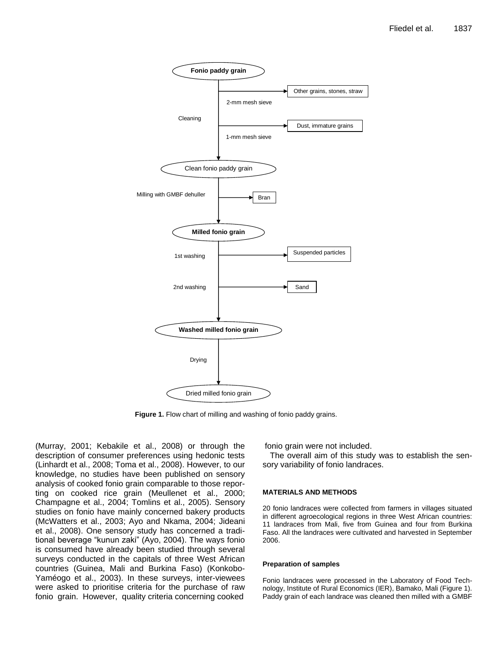

Figure 1. Flow chart of milling and washing of fonio paddy grains.

(Murray, 2001; Kebakile et al., 2008) or through the description of consumer preferences using hedonic tests (Linhardt et al., 2008; Toma et al., 2008). However, to our knowledge, no studies have been published on sensory analysis of cooked fonio grain comparable to those reporting on cooked rice grain (Meullenet et al., 2000; Champagne et al., 2004; Tomlins et al., 2005). Sensory studies on fonio have mainly concerned bakery products (McWatters et al., 2003; Ayo and Nkama, 2004; Jideani et al., 2008). One sensory study has concerned a traditional beverage "kunun zaki" (Ayo, 2004). The ways fonio is consumed have already been studied through several surveys conducted in the capitals of three West African countries (Guinea, Mali and Burkina Faso) (Konkobo-Yaméogo et al., 2003). In these surveys, inter-viewees were asked to prioritise criteria for the purchase of raw fonio grain. However, quality criteria concerning cooked

fonio grain were not included.

The overall aim of this study was to establish the sensory variability of fonio landraces.

## **MATERIALS AND METHODS**

20 fonio landraces were collected from farmers in villages situated in different agroecological regions in three West African countries: 11 landraces from Mali, five from Guinea and four from Burkina Faso. All the landraces were cultivated and harvested in September 2006.

#### **Preparation of samples**

Fonio landraces were processed in the Laboratory of Food Technology, Institute of Rural Economics (IER), Bamako, Mali (Figure 1). Paddy grain of each landrace was cleaned then milled with a GMBF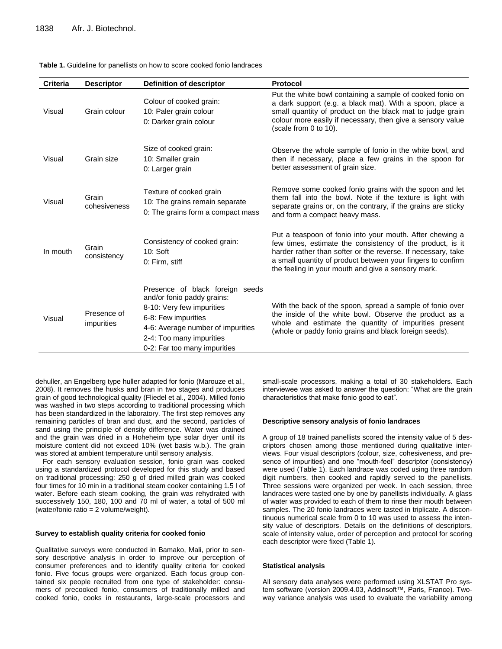| <b>Criteria</b> | <b>Descriptor</b>         | <b>Definition of descriptor</b>                                                                                                                                                                                    | <b>Protocol</b>                                                                                                                                                                                                                                                                                            |
|-----------------|---------------------------|--------------------------------------------------------------------------------------------------------------------------------------------------------------------------------------------------------------------|------------------------------------------------------------------------------------------------------------------------------------------------------------------------------------------------------------------------------------------------------------------------------------------------------------|
| Visual          | Grain colour              | Colour of cooked grain:<br>10: Paler grain colour<br>0: Darker grain colour                                                                                                                                        | Put the white bowl containing a sample of cooked fonio on<br>a dark support (e.g. a black mat). With a spoon, place a<br>small quantity of product on the black mat to judge grain<br>colour more easily if necessary, then give a sensory value<br>(scale from 0 to 10).                                  |
| Visual          | Grain size                | Size of cooked grain:<br>10: Smaller grain<br>0: Larger grain                                                                                                                                                      | Observe the whole sample of fonio in the white bowl, and<br>then if necessary, place a few grains in the spoon for<br>better assessment of grain size.                                                                                                                                                     |
| Visual          | Grain<br>cohesiveness     | Texture of cooked grain<br>10: The grains remain separate<br>0: The grains form a compact mass                                                                                                                     | Remove some cooked fonio grains with the spoon and let<br>them fall into the bowl. Note if the texture is light with<br>separate grains or, on the contrary, if the grains are sticky<br>and form a compact heavy mass.                                                                                    |
| In mouth        | Grain<br>consistency      | Consistency of cooked grain:<br>10:Soft<br>0: Firm, stiff                                                                                                                                                          | Put a teaspoon of fonio into your mouth. After chewing a<br>few times, estimate the consistency of the product, is it<br>harder rather than softer or the reverse. If necessary, take<br>a small quantity of product between your fingers to confirm<br>the feeling in your mouth and give a sensory mark. |
| Visual          | Presence of<br>impurities | Presence of black foreign seeds<br>and/or fonio paddy grains:<br>8-10: Very few impurities<br>6-8: Few impurities<br>4-6: Average number of impurities<br>2-4: Too many impurities<br>0-2: Far too many impurities | With the back of the spoon, spread a sample of fonio over<br>the inside of the white bowl. Observe the product as a<br>whole and estimate the quantity of impurities present<br>(whole or paddy fonio grains and black foreign seeds).                                                                     |

#### **Table 1.** Guideline for panellists on how to score cooked fonio landraces

dehuller, an Engelberg type huller adapted for fonio (Marouze et al., 2008). It removes the husks and bran in two stages and produces grain of good technological quality (Fliedel et al., 2004). Milled fonio was washed in two steps according to traditional processing which has been standardized in the laboratory. The first step removes any remaining particles of bran and dust, and the second, particles of sand using the principle of density difference. Water was drained and the grain was dried in a Hoheheim type solar dryer until its moisture content did not exceed 10% (wet basis w.b.). The grain was stored at ambient temperature until sensory analysis.

For each sensory evaluation session, fonio grain was cooked using a standardized protocol developed for this study and based on traditional processing: 250 g of dried milled grain was cooked four times for 10 min in a traditional steam cooker containing 1.5 l of water. Before each steam cooking, the grain was rehydrated with successively 150, 180, 100 and 70 ml of water, a total of 500 ml (water/fonio ratio = 2 volume/weight).

#### **Survey to establish quality criteria for cooked fonio**

Qualitative surveys were conducted in Bamako, Mali, prior to sensory descriptive analysis in order to improve our perception of consumer preferences and to identify quality criteria for cooked fonio. Five focus groups were organized. Each focus group contained six people recruited from one type of stakeholder: consumers of precooked fonio, consumers of traditionally milled and cooked fonio, cooks in restaurants, large-scale processors and

small-scale processors, making a total of 30 stakeholders. Each interviewee was asked to answer the question: "What are the grain characteristics that make fonio good to eat".

#### **Descriptive sensory analysis of fonio landraces**

A group of 18 trained panellists scored the intensity value of 5 descriptors chosen among those mentioned during qualitative interviews. Four visual descriptors (colour, size, cohesiveness, and presence of impurities) and one "mouth-feel" descriptor (consistency) were used (Table 1). Each landrace was coded using three random digit numbers, then cooked and rapidly served to the panellists. Three sessions were organized per week. In each session, three landraces were tasted one by one by panellists individually. A glass of water was provided to each of them to rinse their mouth between samples. The 20 fonio landraces were tasted in triplicate. A discontinuous numerical scale from 0 to 10 was used to assess the intensity value of descriptors. Details on the definitions of descriptors, scale of intensity value, order of perception and protocol for scoring each descriptor were fixed (Table 1).

#### **Statistical analysis**

All sensory data analyses were performed using XLSTAT Pro system software (version 2009.4.03, Addinsoft™, Paris, France). Twoway variance analysis was used to evaluate the variability among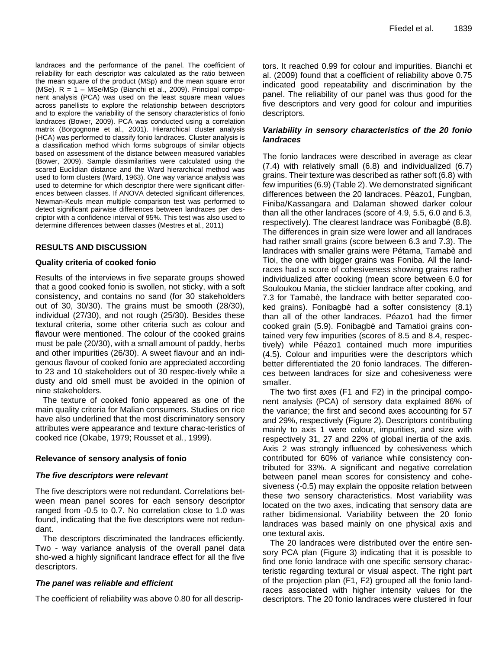landraces and the performance of the panel. The coefficient of reliability for each descriptor was calculated as the ratio between the mean square of the product (MSp) and the mean square error (MSe). R = 1 – MSe/MSp (Bianchi et al., 2009). Principal component analysis (PCA) was used on the least square mean values across panellists to explore the relationship between descriptors and to explore the variability of the sensory characteristics of fonio landraces (Bower, 2009). PCA was conducted using a correlation matrix (Borgognone et al., 2001). Hierarchical cluster analysis (HCA) was performed to classify fonio landraces. Cluster analysis is a classification method which forms subgroups of similar objects based on assessment of the distance between measured variables (Bower, 2009). Sample dissimilarities were calculated using the scared Euclidian distance and the Ward hierarchical method was used to form clusters (Ward, 1963). One way variance analysis was used to determine for which descriptor there were significant differences between classes. If ANOVA detected significant differences, Newman-Keuls mean multiple comparison test was performed to detect significant pairwise differences between landraces per descriptor with a confidence interval of 95%. This test was also used to determine differences between classes (Mestres et al., 2011)

# **RESULTS AND DISCUSSION**

## **Quality criteria of cooked fonio**

Results of the interviews in five separate groups showed that a good cooked fonio is swollen, not sticky, with a soft consistency, and contains no sand (for 30 stakeholders out of 30, 30/30). The grains must be smooth (28/30), individual (27/30), and not rough (25/30). Besides these textural criteria, some other criteria such as colour and flavour were mentioned. The colour of the cooked grains must be pale (20/30), with a small amount of paddy, herbs and other impurities (26/30). A sweet flavour and an indigenous flavour of cooked fonio are appreciated according to 23 and 10 stakeholders out of 30 respec-tively while a dusty and old smell must be avoided in the opinion of nine stakeholders.

The texture of cooked fonio appeared as one of the main quality criteria for Malian consumers. Studies on rice have also underlined that the most discriminatory sensory attributes were appearance and texture charac-teristics of cooked rice (Okabe, 1979; Rousset et al., 1999).

## **Relevance of sensory analysis of fonio**

## *The five descriptors were relevant*

The five descriptors were not redundant. Correlations between mean panel scores for each sensory descriptor ranged from -0.5 to 0.7. No correlation close to 1.0 was found, indicating that the five descriptors were not redundant.

The descriptors discriminated the landraces efficiently. Two - way variance analysis of the overall panel data sho-wed a highly significant landrace effect for all the five descriptors.

# *The panel was reliable and efficient*

The coefficient of reliability was above 0.80 for all descrip-

tors. It reached 0.99 for colour and impurities. Bianchi et al. (2009) found that a coefficient of reliability above 0.75 indicated good repeatability and discrimination by the panel. The reliability of our panel was thus good for the five descriptors and very good for colour and impurities descriptors.

# *Variability in sensory characteristics of the 20 fonio landraces*

The fonio landraces were described in average as clear (7.4) with relatively small (6.8) and individualized (6.7) grains. Their texture was described as rather soft (6.8) with few impurities (6.9) (Table 2). We demonstrated significant differences between the 20 landraces. Péazo1, Fungban, Finiba/Kassangara and Dalaman showed darker colour than all the other landraces (score of 4.9, 5.5, 6.0 and 6.3, respectively). The clearest landrace was Fonibagbè (8.8). The differences in grain size were lower and all landraces had rather small grains (score between 6.3 and 7.3). The landraces with smaller grains were Pétama, Tamabè and Tioi, the one with bigger grains was Foniba. All the landraces had a score of cohesiveness showing grains rather individualized after cooking (mean score between 6.0 for Souloukou Mania, the stickier landrace after cooking, and 7.3 for Tamabè, the landrace with better separated cooked grains). Fonibagbè had a softer consistency (8.1) than all of the other landraces. Péazo1 had the firmer cooked grain (5.9). Fonibagbè and Tamatioi grains contained very few impurities (scores of 8.5 and 8.4, respectively) while Péazo1 contained much more impurities (4.5). Colour and impurities were the descriptors which better differentiated the 20 fonio landraces. The differences between landraces for size and cohesiveness were smaller.

The two first axes (F1 and F2) in the principal component analysis (PCA) of sensory data explained 86% of the variance; the first and second axes accounting for 57 and 29%, respectively (Figure 2). Descriptors contributing mainly to axis 1 were colour, impurities, and size with respectively 31, 27 and 22% of global inertia of the axis. Axis 2 was strongly influenced by cohesiveness which contributed for 60% of variance while consistency contributed for 33%. A significant and negative correlation between panel mean scores for consistency and cohesiveness (-0.5) may explain the opposite relation between these two sensory characteristics. Most variability was located on the two axes, indicating that sensory data are rather bidimensional. Variability between the 20 fonio landraces was based mainly on one physical axis and one textural axis.

The 20 landraces were distributed over the entire sensory PCA plan (Figure 3) indicating that it is possible to find one fonio landrace with one specific sensory characteristic regarding textural or visual aspect. The right part of the projection plan (F1, F2) grouped all the fonio landraces associated with higher intensity values for the descriptors. The 20 fonio landraces were clustered in four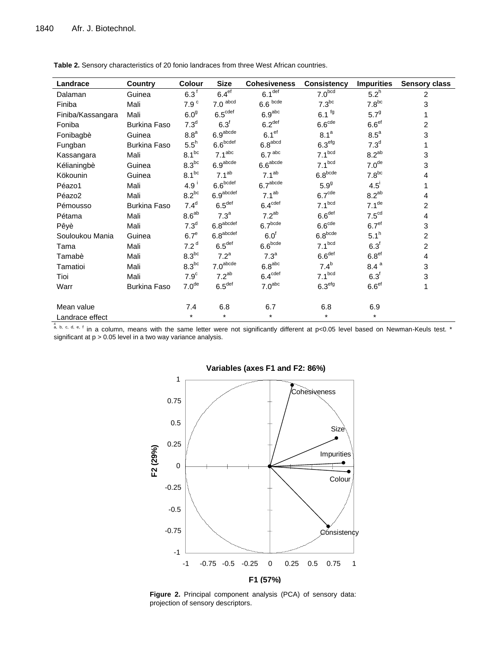| Landrace                                                                                                                                | <b>Country</b>      | Colour            | <b>Size</b>                       | <b>Cohesiveness</b>  | <b>Consistency</b>  | <b>Impurities</b>   | <b>Sensory class</b> |
|-----------------------------------------------------------------------------------------------------------------------------------------|---------------------|-------------------|-----------------------------------|----------------------|---------------------|---------------------|----------------------|
| Dalaman                                                                                                                                 | Guinea              | 6.3 <sup>f</sup>  | 6.4 <sup>ef</sup>                 | $6.1$ <sup>def</sup> | 7.0 <sub>bcd</sub>  | $5.2^h$             | $\overline{2}$       |
| Finiba                                                                                                                                  | Mali                | 7.9 $^{\circ}$    | $7.0$ abcd                        | $6.6$ bcde           | $7.3^{bc}$          | $7.8^{bc}$          | 3                    |
| Finiba/Kassangara                                                                                                                       | Mali                | 6.0 <sup>g</sup>  | $6.5^{\text{cdef}}$               | 6.9 <sup>abc</sup>   | $6.1$ <sup>fg</sup> | $5.7^{9}$           | 1                    |
| Foniba                                                                                                                                  | <b>Burkina Faso</b> | 7.3 <sup>d</sup>  | 6.3 <sup>f</sup>                  | 6.2 <sup>def</sup>   | 6.6 <sup>cde</sup>  | $6.6$ <sup>ef</sup> | $\overline{2}$       |
| Fonibagbè                                                                                                                               | Guinea              | $8.8^a$           | 6.9 <sup>abcde</sup>              | 6.1 <sup>ef</sup>    | 8.1 <sup>a</sup>    | $8.5^a$             | 3                    |
| Fungban                                                                                                                                 | Burkina Faso        | $5.5^h$           | 6.6 <sup>bcdef</sup>              | $6.8^{\rm abcd}$     | 6.3 <sup>efg</sup>  | 7.3 <sup>d</sup>    | 1                    |
| Kassangara                                                                                                                              | Mali                | $8.1^{bc}$        | 7.1 <sup>abc</sup>                | 6.7 <sup>abc</sup>   | 7.1 <sup>bcd</sup>  | $8.2^{ab}$          | 3                    |
| Kélianingbè                                                                                                                             | Guinea              | $8.3^{bc}$        | 6.9 <sup>abcde</sup>              | $6.6^{\rm abcde}$    | 7.1 <sup>bcd</sup>  | 7.0 <sup>de</sup>   | 3                    |
| Kökounin                                                                                                                                | Guinea              | $8.1^{bc}$        | 7.1 <sup>ab</sup>                 | 7.1 <sup>ab</sup>    | $6.8^{\rm bede}$    | $7.8^{bc}$          | 4                    |
| Péazo1                                                                                                                                  | Mali                | 4.9 <sup>i</sup>  | $6.6^{\hbox{\scriptsize{bcdef}}}$ | 6.7 <sup>abcde</sup> | 5.9 <sup>g</sup>    | $4.5^{\mathrm{i}}$  | 1                    |
| Péazo2                                                                                                                                  | Mali                | $8.2^{bc}$        | 6.9 <sup>abcdef</sup>             | 7.1 <sup>ab</sup>    | 6.7 <sup>cde</sup>  | $8.2^{ab}$          | 4                    |
| Pémousso                                                                                                                                | <b>Burkina Faso</b> | 7.4 <sup>d</sup>  | 6.5 <sup>def</sup>                | $6.4^{\text{cdef}}$  | 7.1 <sup>bcd</sup>  | 7.1 <sup>de</sup>   | $\overline{2}$       |
| Pétama                                                                                                                                  | Mali                | $8.6^{ab}$        | 7.3 <sup>a</sup>                  | $7.2^{ab}$           | 6.6 <sup>def</sup>  | 7.5 <sup>cd</sup>   | $\overline{4}$       |
| Pêyè                                                                                                                                    | Mali                | 7.3 <sup>d</sup>  | $6.8^{\rm abcdef}$                | 6.7 <sup>bcde</sup>  | 6.6 <sup>cde</sup>  | 6.7 <sup>ef</sup>   | 3                    |
| Souloukou Mania                                                                                                                         | Guinea              | 6.7 <sup>e</sup>  | $6.8^{\rm abcdef}$                | 6.0 <sup>f</sup>     | $6.8^{\rm bede}$    | 5.1 <sup>h</sup>    | $\overline{c}$       |
| Tama                                                                                                                                    | Mali                | 7.2 <sup>d</sup>  | 6.5 <sup>def</sup>                | 6.6 <sup>bcde</sup>  | 7.1 <sup>bcd</sup>  | 6.3 <sup>f</sup>    | $\overline{2}$       |
| Tamabè                                                                                                                                  | Mali                | $8.3^{bc}$        | 7.2 <sup>a</sup>                  | 7.3 <sup>a</sup>     | 6.6 <sup>def</sup>  | 6.8 <sup>ef</sup>   | $\overline{4}$       |
| Tamatioi                                                                                                                                | Mali                | $8.3^{bc}$        | 7.0 <sup>abcde</sup>              | 6.8 <sup>abc</sup>   | $7.4^b$             | 8.4 <sup>a</sup>    | 3                    |
| Tioi                                                                                                                                    | Mali                | 7.9 <sup>c</sup>  | $7.2^{ab}$                        | $6.4^{\text{cdef}}$  | 7.1 <sup>bcd</sup>  | 6.3 <sup>f</sup>    | 3                    |
| Warr                                                                                                                                    | Burkina Faso        | 7.0 <sup>de</sup> | 6.5 <sup>def</sup>                | 7.0 <sup>abc</sup>   | 6.3 <sup>efg</sup>  | 6.6 <sup>ef</sup>   | 1                    |
| Mean value                                                                                                                              |                     | 7.4               | 6.8                               | 6.7                  | 6.8                 | 6.9                 |                      |
| Landrace effect                                                                                                                         |                     | $\star$           | $\star$                           | $\star$              | $\star$             | $\star$             |                      |
| a, b, c, d, e, f in a column, means with the same letter were not significantly different at p<0.05 level based on Newman-Keuls test. * |                     |                   |                                   |                      |                     |                     |                      |

**Table 2.** Sensory characteristics of 20 fonio landraces from three West African countries.

significant at  $p > 0.05$  level in a two way variance analysis.



## **Variables (axes F1 and F2: 86%)**

**Figure 2.** Principal component analysis (PCA) of sensory data: projection of sensory descriptors.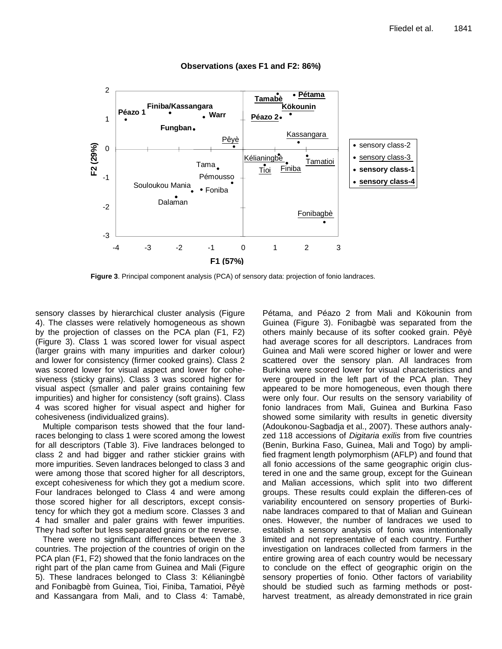

## **Observations (axes F1 and F2: 86%)**

**Figure 3**. Principal component analysis (PCA) of sensory data: projection of fonio landraces.

sensory classes by hierarchical cluster analysis (Figure 4). The classes were relatively homogeneous as shown by the projection of classes on the PCA plan (F1, F2) (Figure 3). Class 1 was scored lower for visual aspect (larger grains with many impurities and darker colour) and lower for consistency (firmer cooked grains). Class 2 was scored lower for visual aspect and lower for cohesiveness (sticky grains). Class 3 was scored higher for visual aspect (smaller and paler grains containing few impurities) and higher for consistency (soft grains). Class 4 was scored higher for visual aspect and higher for cohesiveness (individualized grains).

Multiple comparison tests showed that the four landraces belonging to class 1 were scored among the lowest for all descriptors (Table 3). Five landraces belonged to class 2 and had bigger and rather stickier grains with more impurities. Seven landraces belonged to class 3 and were among those that scored higher for all descriptors, except cohesiveness for which they got a medium score. Four landraces belonged to Class 4 and were among those scored higher for all descriptors, except consistency for which they got a medium score. Classes 3 and 4 had smaller and paler grains with fewer impurities. They had softer but less separated grains or the reverse.

There were no significant differences between the 3 countries. The projection of the countries of origin on the PCA plan (F1, F2) showed that the fonio landraces on the right part of the plan came from Guinea and Mali (Figure 5). These landraces belonged to Class 3: Kélianingbè and Fonibagbè from Guinea, Tioi, Finiba, Tamatioi, Pêyè and Kassangara from Mali, and to Class 4: Tamabè,

Pétama, and Péazo 2 from Mali and Kökounin from Guinea (Figure 3). Fonibagbè was separated from the others mainly because of its softer cooked grain. Pêyè had average scores for all descriptors. Landraces from Guinea and Mali were scored higher or lower and were scattered over the sensory plan. All landraces from Burkina were scored lower for visual characteristics and were grouped in the left part of the PCA plan. They appeared to be more homogeneous, even though there were only four. Our results on the sensory variability of fonio landraces from Mali, Guinea and Burkina Faso showed some similarity with results in genetic diversity (Adoukonou-Sagbadja et al., 2007). These authors analyzed 118 accessions of *Digitaria exilis* from five countries (Benin, Burkina Faso, Guinea, Mali and Togo) by amplified fragment length polymorphism (AFLP) and found that all fonio accessions of the same geographic origin clustered in one and the same group, except for the Guinean and Malian accessions, which split into two different groups. These results could explain the differen-ces of variability encountered on sensory properties of Burkinabe landraces compared to that of Malian and Guinean ones. However, the number of landraces we used to establish a sensory analysis of fonio was intentionally limited and not representative of each country. Further investigation on landraces collected from farmers in the entire growing area of each country would be necessary to conclude on the effect of geographic origin on the sensory properties of fonio. Other factors of variability should be studied such as farming methods or postharvest treatment, as already demonstrated in rice grain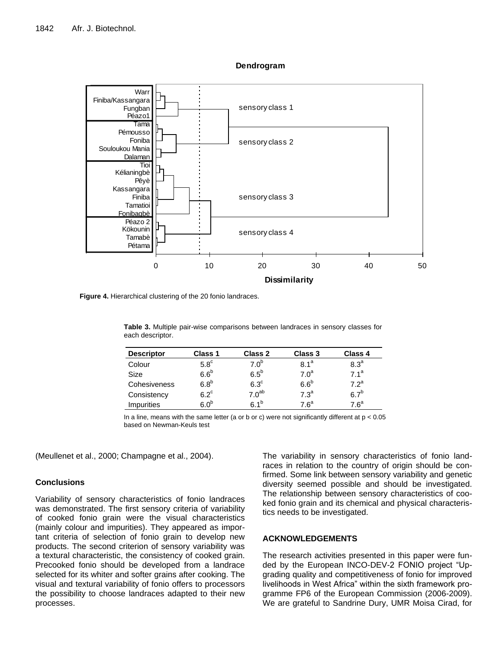**Dendrogram**



**Figure 4.** Hierarchical clustering of the 20 fonio landraces.

| <b>Descriptor</b> | <b>Class 1</b>   | <b>Class 2</b>    | <b>Class 3</b>   | Class 4          |
|-------------------|------------------|-------------------|------------------|------------------|
| Colour            | $5.8^{\circ}$    | 7.0 <sup>b</sup>  | 8.1 <sup>a</sup> | 8.3 <sup>a</sup> |
| Size              | 6.6 <sup>b</sup> | $6.5^b$           | 7.0 <sup>a</sup> | 71 <sup>a</sup>  |
| Cohesiveness      | 6.8 <sup>b</sup> | $6.3^\circ$       | 6.6 <sup>b</sup> | 72 <sup>a</sup>  |
| Consistency       | $6.2^{\circ}$    | 7.0 <sup>ab</sup> | 7.3 <sup>a</sup> | 6.7 <sup>b</sup> |
| <i>Impurities</i> | 6 ቦ <sup>b</sup> | $61^b$            | $7.6^a$          | $7.6^a$          |

**Table 3.** Multiple pair-wise comparisons between landraces in sensory classes for each descriptor.

In a line, means with the same letter (a or b or c) were not significantly different at  $p < 0.05$ based on Newman-Keuls test

(Meullenet et al., 2000; Champagne et al., 2004).

## **Conclusions**

Variability of sensory characteristics of fonio landraces was demonstrated. The first sensory criteria of variability of cooked fonio grain were the visual characteristics (mainly colour and impurities). They appeared as important criteria of selection of fonio grain to develop new products. The second criterion of sensory variability was a textural characteristic, the consistency of cooked grain. Precooked fonio should be developed from a landrace selected for its whiter and softer grains after cooking. The visual and textural variability of fonio offers to processors the possibility to choose landraces adapted to their new processes.

The variability in sensory characteristics of fonio landraces in relation to the country of origin should be confirmed. Some link between sensory variability and genetic diversity seemed possible and should be investigated. The relationship between sensory characteristics of cooked fonio grain and its chemical and physical characteristics needs to be investigated.

# **ACKNOWLEDGEMENTS**

The research activities presented in this paper were funded by the European INCO-DEV-2 FONIO project "Upgrading quality and competitiveness of fonio for improved livelihoods in West Africa" within the sixth framework programme FP6 of the European Commission (2006-2009). We are grateful to Sandrine Dury, UMR Moisa Cirad, for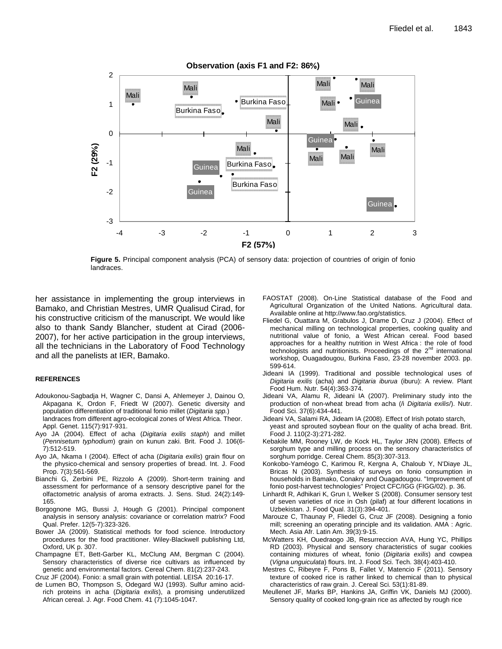Guinea Mali Mali Burkina Faso **Guinea** Burkina Faso Mali Guinea **Guinea** Mali **Mali** Burkina Faso Mali Mali **Guinea** Mali Mali Mali Mali Burkina Faso -3 -2 -1 0 1 2 -4 -3 -2 -1 0 1 2 3 **F1 (57 %) F2 (29 %) Observation (axis F1 and F2: 86)** Mali <br> **F2** CU -1<br>
CU -2<br>
-2<br>
-3<br>
-4 -3 -2 -1<br>
F2 (57%)

**Figure 5.** Principal component analysis (PCA) of sensory data: projection of countries of origin of fonio landraces.

her assistance in implementing the group interviews in Bamako, and Christian Mestres, UMR Qualisud Cirad, for his constructive criticism of the manuscript. We would like also to thank Sandy Blancher, student at Cirad (2006- 2007), for her active participation in the group interviews, all the technicians in the Laboratory of Food Technology and all the panelists at IER, Bamako.

## **REFERENCES**

- Adoukonou-Sagbadja H, Wagner C, Dansi A, Ahlemeyer J, Dainou O, Akpagana K, Ordon F, Friedt W (2007). Genetic diversity and population differentiation of traditional fonio millet (*Digitaria spp.*) landraces from different agro-ecological zones of West Africa. Theor. Appl. Genet. 115(7):917-931.
- Ayo JA (2004). Effect of acha (*Digitaria exilis staph*) and millet (*Pennisetum typhodium*) grain on kunun zaki. Brit. Food J. 106(6- 7):512-519.
- Ayo JA, Nkama I (2004). Effect of acha (*Digitaria exilis*) grain flour on the physico-chemical and sensory properties of bread. Int. J. Food Prop. 7(3):561-569.
- Bianchi G, Zerbini PE, Rizzolo A (2009). Short-term training and assessment for performance of a sensory descriptive panel for the olfactometric analysis of aroma extracts. J. Sens. Stud. 24(2):149- 165.
- Borgognone MG, Bussi J, Hough G (2001). Principal component analysis in sensory analysis: covariance or correlation matrix? Food Qual. Prefer. 12(5-7):323-326.
- Bower JA (2009). Statistical methods for food science. Introductory procedures for the food practitioner. Wiley-Blackwell publishing Ltd, Oxford, UK p. 307.
- Champagne ET, Bett-Garber KL, McClung AM, Bergman C (2004). Sensory characteristics of diverse rice cultivars as influenced by genetic and environmental factors. Cereal Chem. 81(2):237-243.

Cruz JF (2004). Fonio: a small grain with potential. LEISA 20:16-17.

de Lumen BO, Thompson S, Odegard WJ (1993). Sulfur amino acidrich proteins in acha (*Digitaria exilis*), a promising underutilized African cereal. J. Agr. Food Chem. 41 (7):1045-1047.

- FAOSTAT (2008). On-Line Statistical database of the Food and Agricultural Organization of the United Nations. Agricultural data. Available online at http://www.fao.org/statistics.
- Fliedel G, Ouattara M, Grabulos J, Drame D, Cruz J (2004). Effect of mechanical milling on technological properties, cooking quality and nutritional value of fonio, a West African cereal. Food based approaches for a healthy nutrition in West Africa : the role of food technologists and nutritionists. Proceedings of the 2<sup>nd</sup> international workshop, Ouagadougou, Burkina Faso, 23-28 november 2003. pp. 599-614.
- Jideani IA (1999). Traditional and possible technological uses of *Digitaria exilis* (acha) and *Digitaria iburua* (iburu): A review. Plant Food Hum. Nutr. 54(4):363-374.
- Jideani VA, Alamu R, Jideani IA (2007). Preliminary study into the production of non-wheat bread from acha (/i *Digitaria exilis*/). Nutr. Food Sci. 37(6):434-441.
- Jideani VA, Salami RA, Jideam IA (2008). Effect of Irish potato starch, yeast and sprouted soybean flour on the quality of acha bread. Brit. Food J. 110(2-3):271-282.
- Kebakile MM, Rooney LW, de Kock HL, Taylor JRN (2008). Effects of sorghum type and milling process on the sensory characteristics of sorghum porridge. Cereal Chem. 85(3):307-313.
- Konkobo-Yaméogo C, Karimou R, Kergna A, Chaloub Y, N'Diaye JL, Bricas N (2003). Synthesis of surveys on fonio consumption in households in Bamako, Conakry and Ouagadougou. "Improvement of fonio post-harvest technologies" Project CFC/IGG (FIGG/02). p. 36.
- Linhardt R, Adhikari K, Grun I, Welker S (2008). Consumer sensory test of seven varieties of rice in Osh (pilaf) at four different locations in Uzbekistan. J. Food Qual. 31(3):394-401.
- Marouze C, Thaunay P, Fliedel G, Cruz JF (2008). Designing a fonio mill; screening an operating principle and its validation. AMA : Agric. Mech. Asia Afr. Latin Am. 39(3):9-15.
- McWatters KH, Ouedraogo JB, Resurreccion AVA, Hung YC, Phillips RD (2003). Physical and sensory characteristics of sugar cookies containing mixtures of wheat, fonio (*Digitaria exilis*) and cowpea (*Vigna unguiculata*) flours. Int. J. Food Sci. Tech. 38(4):403-410.
- Mestres C, Ribeyre F, Pons B, Fallet V, Matencio F (2011). Sensory texture of cooked rice is rather linked to chemical than to physical characteristics of raw grain. J. Cereal Sci. 53(1):81-89.
- Meullenet JF, Marks BP, Hankins JA, Griffin VK, Daniels MJ (2000). Sensory quality of cooked long-grain rice as affected by rough rice